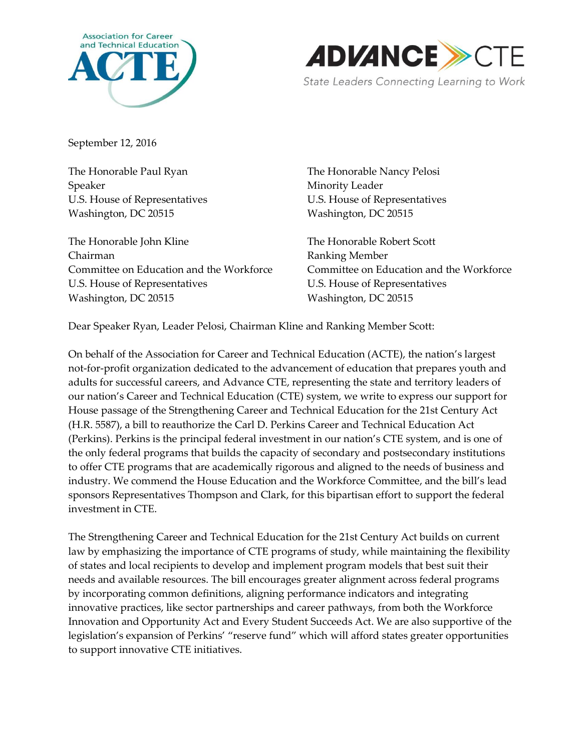



September 12, 2016

The Honorable Paul Ryan The Honorable Nancy Pelosi Speaker Minority Leader Washington, DC 20515 Washington, DC 20515

The Honorable John Kline The Honorable Robert Scott Chairman Ranking Member Committee on Education and the Workforce Committee on Education and the Workforce U.S. House of Representatives U.S. House of Representatives Washington, DC 20515 Washington, DC 20515

U.S. House of Representatives U.S. House of Representatives

Dear Speaker Ryan, Leader Pelosi, Chairman Kline and Ranking Member Scott:

On behalf of the Association for Career and Technical Education (ACTE), the nation's largest not-for-profit organization dedicated to the advancement of education that prepares youth and adults for successful careers, and Advance CTE, representing the state and territory leaders of our nation's Career and Technical Education (CTE) system, we write to express our support for House passage of the Strengthening Career and Technical Education for the 21st Century Act (H.R. 5587), a bill to reauthorize the Carl D. Perkins Career and Technical Education Act (Perkins). Perkins is the principal federal investment in our nation's CTE system, and is one of the only federal programs that builds the capacity of secondary and postsecondary institutions to offer CTE programs that are academically rigorous and aligned to the needs of business and industry. We commend the House Education and the Workforce Committee, and the bill's lead sponsors Representatives Thompson and Clark, for this bipartisan effort to support the federal investment in CTE.

The Strengthening Career and Technical Education for the 21st Century Act builds on current law by emphasizing the importance of CTE programs of study, while maintaining the flexibility of states and local recipients to develop and implement program models that best suit their needs and available resources. The bill encourages greater alignment across federal programs by incorporating common definitions, aligning performance indicators and integrating innovative practices, like sector partnerships and career pathways, from both the Workforce Innovation and Opportunity Act and Every Student Succeeds Act. We are also supportive of the legislation's expansion of Perkins' "reserve fund" which will afford states greater opportunities to support innovative CTE initiatives.